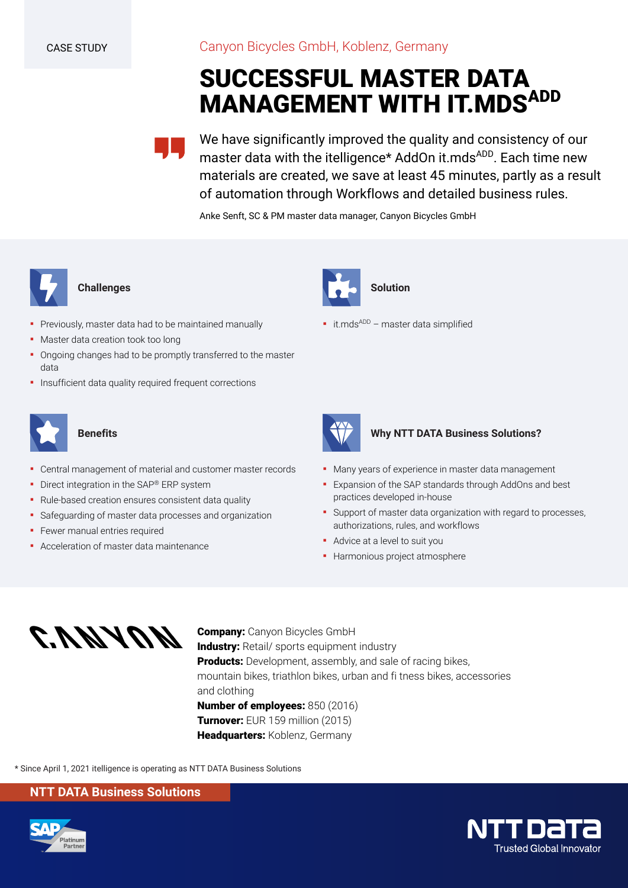Canyon Bicycles GmbH, Koblenz, Germany

# **SUCCESSFUL MASTER DATA MANAGEMENT WITH IT.MDSADD**

We have significantly improved the quality and consistency of our master data with the itelligence\* AddOn it.mds<sup>ADD</sup>. Each time new materials are created, we save at least 45 minutes, partly as a result of automation through Workflows and detailed business rules.

Anke Senft, SC & PM master data manager, Canyon Bicycles GmbH



## **Challenges**

- Previously, master data had to be maintained manually
- **■** Master data creation took too long
- Ongoing changes had to be promptly transferred to the master data
- **·** Insufficient data quality required frequent corrections



## **Benefits**

- Central management of material and customer master records
- **•** Direct integration in the SAP® ERP system
- Rule-based creation ensures consistent data quality
- Safeguarding of master data processes and organization
- **•** Fewer manual entries required
- Acceleration of master data maintenance



 $\bullet$  it.mds<sup>ADD</sup> – master data simplified



#### **Why NTT DATA Business Solutions?**

- **Many years of experience in master data management**
- Expansion of the SAP standards through AddOns and best practices developed in-house
- Support of master data organization with regard to processes, authorizations, rules, and workflows
- Advice at a level to suit you
- **·** Harmonious project atmosphere



**Company:** Canyon Bicycles GmbH **Industry:** Retail/ sports equipment industry **Products:** Development, assembly, and sale of racing bikes, mountain bikes, triathlon bikes, urban and fi tness bikes, accessories and clothing **Number of employees:** 850 (2016)

**Turnover:** EUR 159 million (2015) **Headquarters:** Koblenz, Germany

\* Since April 1, 2021 itelligence is operating as NTT DATA Business Solutions

### **NTT DATA Business Solutions**